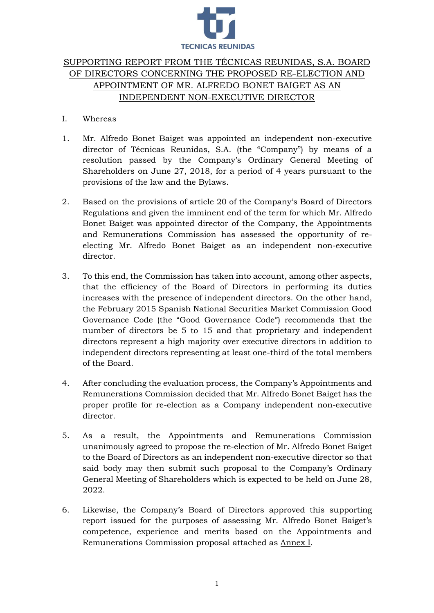

# SUPPORTING REPORT FROM THE TÉCNICAS REUNIDAS, S.A. BOARD OF DIRECTORS CONCERNING THE PROPOSED RE-ELECTION AND APPOINTMENT OF MR. ALFREDO BONET BAIGET AS AN INDEPENDENT NON-EXECUTIVE DIRECTOR

- I. Whereas
- 1. Mr. Alfredo Bonet Baiget was appointed an independent non-executive director of Técnicas Reunidas, S.A. (the "Company") by means of a resolution passed by the Company's Ordinary General Meeting of Shareholders on June 27, 2018, for a period of 4 years pursuant to the provisions of the law and the Bylaws.
- 2. Based on the provisions of article 20 of the Company's Board of Directors Regulations and given the imminent end of the term for which Mr. Alfredo Bonet Baiget was appointed director of the Company, the Appointments and Remunerations Commission has assessed the opportunity of reelecting Mr. Alfredo Bonet Baiget as an independent non-executive director.
- 3. To this end, the Commission has taken into account, among other aspects, that the efficiency of the Board of Directors in performing its duties increases with the presence of independent directors. On the other hand, the February 2015 Spanish National Securities Market Commission Good Governance Code (the "Good Governance Code") recommends that the number of directors be 5 to 15 and that proprietary and independent directors represent a high majority over executive directors in addition to independent directors representing at least one-third of the total members of the Board.
- 4. After concluding the evaluation process, the Company's Appointments and Remunerations Commission decided that Mr. Alfredo Bonet Baiget has the proper profile for re-election as a Company independent non-executive director.
- 5. As a result, the Appointments and Remunerations Commission unanimously agreed to propose the re-election of Mr. Alfredo Bonet Baiget to the Board of Directors as an independent non-executive director so that said body may then submit such proposal to the Company's Ordinary General Meeting of Shareholders which is expected to be held on June 28, 2022.
- 6. Likewise, the Company's Board of Directors approved this supporting report issued for the purposes of assessing Mr. Alfredo Bonet Baiget's competence, experience and merits based on the Appointments and Remunerations Commission proposal attached as Annex I.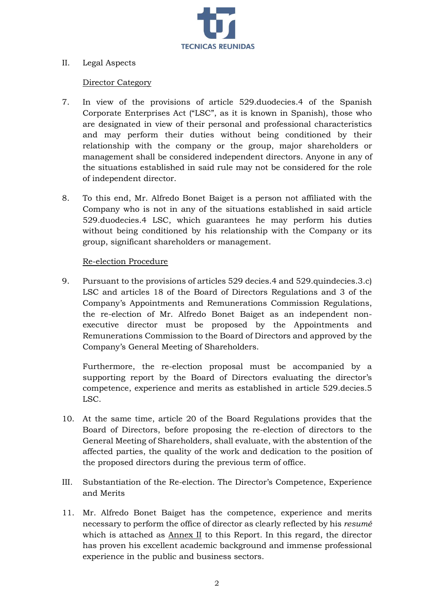

# II. Legal Aspects

#### Director Category

- 7. In view of the provisions of article 529.duodecies.4 of the Spanish Corporate Enterprises Act ("LSC", as it is known in Spanish), those who are designated in view of their personal and professional characteristics and may perform their duties without being conditioned by their relationship with the company or the group, major shareholders or management shall be considered independent directors. Anyone in any of the situations established in said rule may not be considered for the role of independent director.
- 8. To this end, Mr. Alfredo Bonet Baiget is a person not affiliated with the Company who is not in any of the situations established in said article 529.duodecies.4 LSC, which guarantees he may perform his duties without being conditioned by his relationship with the Company or its group, significant shareholders or management.

#### Re-election Procedure

9. Pursuant to the provisions of articles 529 decies.4 and 529.quindecies.3.c) LSC and articles 18 of the Board of Directors Regulations and 3 of the Company's Appointments and Remunerations Commission Regulations, the re-election of Mr. Alfredo Bonet Baiget as an independent nonexecutive director must be proposed by the Appointments and Remunerations Commission to the Board of Directors and approved by the Company's General Meeting of Shareholders.

Furthermore, the re-election proposal must be accompanied by a supporting report by the Board of Directors evaluating the director's competence, experience and merits as established in article 529.decies.5 LSC.

- 10. At the same time, article 20 of the Board Regulations provides that the Board of Directors, before proposing the re-election of directors to the General Meeting of Shareholders, shall evaluate, with the abstention of the affected parties, the quality of the work and dedication to the position of the proposed directors during the previous term of office.
- III. Substantiation of the Re-election. The Director's Competence, Experience and Merits
- 11. Mr. Alfredo Bonet Baiget has the competence, experience and merits necessary to perform the office of director as clearly reflected by his *resumé* which is attached as Annex II to this Report. In this regard, the director has proven his excellent academic background and immense professional experience in the public and business sectors.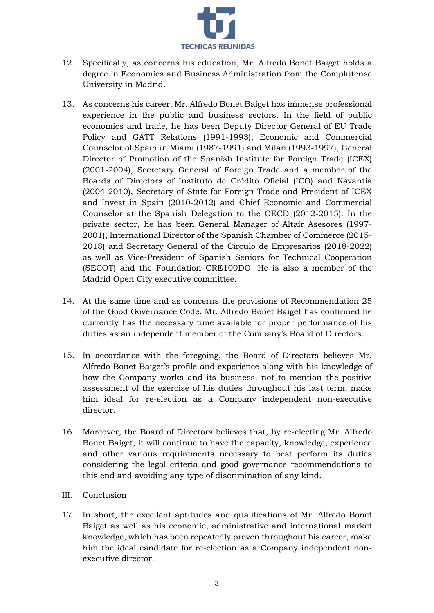

- 12. Specifically, as concerns his education, Mr. Alfredo Bonet Baiget holds a degree in Economics and Business Administration from the Complutense University in Madrid.
- 13. As concerns his career, Mr. Alfredo Bonet Baiget has immense professional experience in the public and business sectors. In the field of public economics and trade, he has been Deputy Director General of EU Trade Policy and GATT Relations (1991-1993), Economic and Commercial Counselor of Spain in Miami (1987-1991) and Milan (1993-1997), General Director of Promotion of the Spanish Institute for Foreign Trade (ICEX) (2001-2004), Secretary General of Foreign Trade and a member of the Boards of Directors of Instituto de Crédito Oficial (ICO) and Navantia (2004-2010), Secretary of State for Foreign Trade and President of ICEX and Invest in Spain (2010-2012) and Chief Economic and Commercial Counselor at the Spanish Delegation to the OECD (2012-2015). In the private sector, he has been General Manager of Altair Asesores (1997- 2001), International Director of the Spanish Chamber of Commerce (2015- 2018) and Secretary General of the Círculo de Empresarios (2018-2022) as well as Vice-President of Spanish Seniors for Technical Cooperation (SECOT) and the Foundation CRE100DO. He is also a member of the Madrid Open City executive committee.
- 14. At the same time and as concerns the provisions of Recommendation 25 of the Good Governance Code, Mr. Alfredo Bonet Baiget has confirmed he currently has the necessary time available for proper performance of his duties as an independent member of the Company's Board of Directors.
- 15. In accordance with the foregoing, the Board of Directors believes Mr. Alfredo Bonet Baiget's profile and experience along with his knowledge of how the Company works and its business, not to mention the positive assessment of the exercise of his duties throughout his last term, make him ideal for re-election as a Company independent non-executive director.
- 16. Moreover, the Board of Directors believes that, by re-electing Mr. Alfredo Bonet Baiget, it will continue to have the capacity, knowledge, experience and other various requirements necessary to best perform its duties considering the legal criteria and good governance recommendations to this end and avoiding any type of discrimination of any kind.
- III. Conclusion
- 17. In short, the excellent aptitudes and qualifications of Mr. Alfredo Bonet Baiget as well as his economic, administrative and international market knowledge, which has been repeatedly proven throughout his career, make him the ideal candidate for re-election as a Company independent nonexecutive director.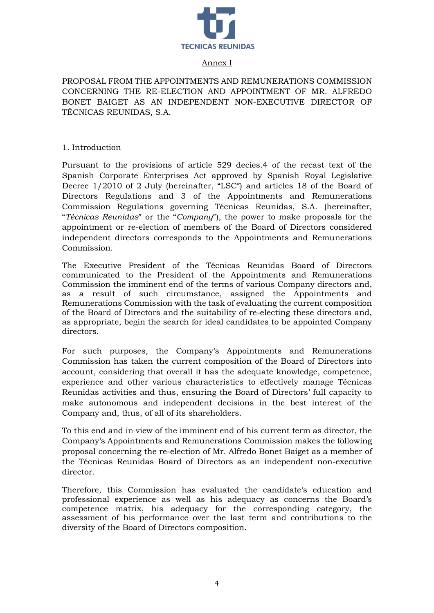

## Annex I

PROPOSAL FROM THE APPOINTMENTS AND REMUNERATIONS COMMISSION CONCERNING THE RE-ELECTION AND APPOINTMENT OF MR. ALFREDO BONET BAIGET AS AN INDEPENDENT NON-EXECUTIVE DIRECTOR OF TÉCNICAS REUNIDAS, S.A.

1. Introduction

Pursuant to the provisions of article 529 decies.4 of the recast text of the Spanish Corporate Enterprises Act approved by Spanish Royal Legislative Decree 1/2010 of 2 July (hereinafter, "LSC") and articles 18 of the Board of Directors Regulations and 3 of the Appointments and Remunerations Commission Regulations governing Técnicas Reunidas, S.A. (hereinafter, "*Técnicas Reunidas*" or the "*Company*"), the power to make proposals for the appointment or re-election of members of the Board of Directors considered independent directors corresponds to the Appointments and Remunerations Commission.

The Executive President of the Técnicas Reunidas Board of Directors communicated to the President of the Appointments and Remunerations Commission the imminent end of the terms of various Company directors and, as a result of such circumstance, assigned the Appointments and Remunerations Commission with the task of evaluating the current composition of the Board of Directors and the suitability of re-electing these directors and, as appropriate, begin the search for ideal candidates to be appointed Company directors.

For such purposes, the Company's Appointments and Remunerations Commission has taken the current composition of the Board of Directors into account, considering that overall it has the adequate knowledge, competence, experience and other various characteristics to effectively manage Técnicas Reunidas activities and thus, ensuring the Board of Directors' full capacity to make autonomous and independent decisions in the best interest of the Company and, thus, of all of its shareholders.

To this end and in view of the imminent end of his current term as director, the Company's Appointments and Remunerations Commission makes the following proposal concerning the re-election of Mr. Alfredo Bonet Baiget as a member of the Técnicas Reunidas Board of Directors as an independent non-executive director.

Therefore, this Commission has evaluated the candidate's education and professional experience as well as his adequacy as concerns the Board's competence matrix, his adequacy for the corresponding category, the assessment of his performance over the last term and contributions to the diversity of the Board of Directors composition.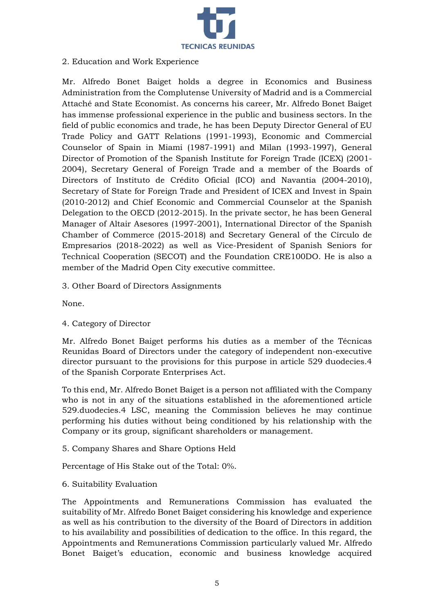

# 2. Education and Work Experience

Mr. Alfredo Bonet Baiget holds a degree in Economics and Business Administration from the Complutense University of Madrid and is a Commercial Attaché and State Economist. As concerns his career, Mr. Alfredo Bonet Baiget has immense professional experience in the public and business sectors. In the field of public economics and trade, he has been Deputy Director General of EU Trade Policy and GATT Relations (1991-1993), Economic and Commercial Counselor of Spain in Miami (1987-1991) and Milan (1993-1997), General Director of Promotion of the Spanish Institute for Foreign Trade (ICEX) (2001- 2004), Secretary General of Foreign Trade and a member of the Boards of Directors of Instituto de Crédito Oficial (ICO) and Navantia (2004-2010), Secretary of State for Foreign Trade and President of ICEX and Invest in Spain (2010-2012) and Chief Economic and Commercial Counselor at the Spanish Delegation to the OECD (2012-2015). In the private sector, he has been General Manager of Altair Asesores (1997-2001), International Director of the Spanish Chamber of Commerce (2015-2018) and Secretary General of the Círculo de Empresarios (2018-2022) as well as Vice-President of Spanish Seniors for Technical Cooperation (SECOT) and the Foundation CRE100DO. He is also a member of the Madrid Open City executive committee.

3. Other Board of Directors Assignments

None.

4. Category of Director

Mr. Alfredo Bonet Baiget performs his duties as a member of the Técnicas Reunidas Board of Directors under the category of independent non-executive director pursuant to the provisions for this purpose in article 529 duodecies.4 of the Spanish Corporate Enterprises Act.

To this end, Mr. Alfredo Bonet Baiget is a person not affiliated with the Company who is not in any of the situations established in the aforementioned article 529.duodecies.4 LSC, meaning the Commission believes he may continue performing his duties without being conditioned by his relationship with the Company or its group, significant shareholders or management.

5. Company Shares and Share Options Held

Percentage of His Stake out of the Total: 0%.

# 6. Suitability Evaluation

The Appointments and Remunerations Commission has evaluated the suitability of Mr. Alfredo Bonet Baiget considering his knowledge and experience as well as his contribution to the diversity of the Board of Directors in addition to his availability and possibilities of dedication to the office. In this regard, the Appointments and Remunerations Commission particularly valued Mr. Alfredo Bonet Baiget's education, economic and business knowledge acquired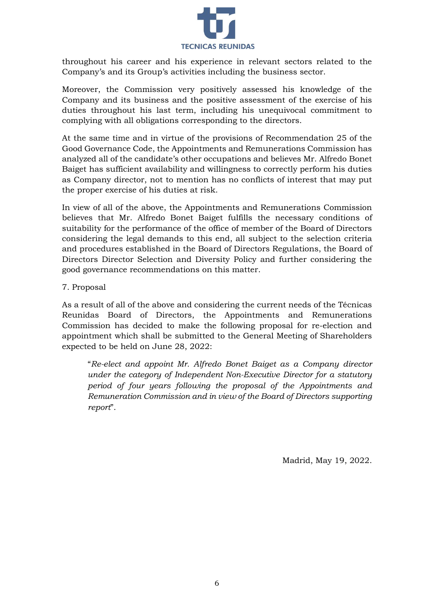

throughout his career and his experience in relevant sectors related to the Company's and its Group's activities including the business sector.

Moreover, the Commission very positively assessed his knowledge of the Company and its business and the positive assessment of the exercise of his duties throughout his last term, including his unequivocal commitment to complying with all obligations corresponding to the directors.

At the same time and in virtue of the provisions of Recommendation 25 of the Good Governance Code, the Appointments and Remunerations Commission has analyzed all of the candidate's other occupations and believes Mr. Alfredo Bonet Baiget has sufficient availability and willingness to correctly perform his duties as Company director, not to mention has no conflicts of interest that may put the proper exercise of his duties at risk.

In view of all of the above, the Appointments and Remunerations Commission believes that Mr. Alfredo Bonet Baiget fulfills the necessary conditions of suitability for the performance of the office of member of the Board of Directors considering the legal demands to this end, all subject to the selection criteria and procedures established in the Board of Directors Regulations, the Board of Directors Director Selection and Diversity Policy and further considering the good governance recommendations on this matter.

7. Proposal

As a result of all of the above and considering the current needs of the Técnicas Reunidas Board of Directors, the Appointments and Remunerations Commission has decided to make the following proposal for re-election and appointment which shall be submitted to the General Meeting of Shareholders expected to be held on June 28, 2022:

"*Re-elect and appoint Mr. Alfredo Bonet Baiget as a Company director under the category of Independent Non-Executive Director for a statutory period of four years following the proposal of the Appointments and Remuneration Commission and in view of the Board of Directors supporting report*".

Madrid, May 19, 2022.